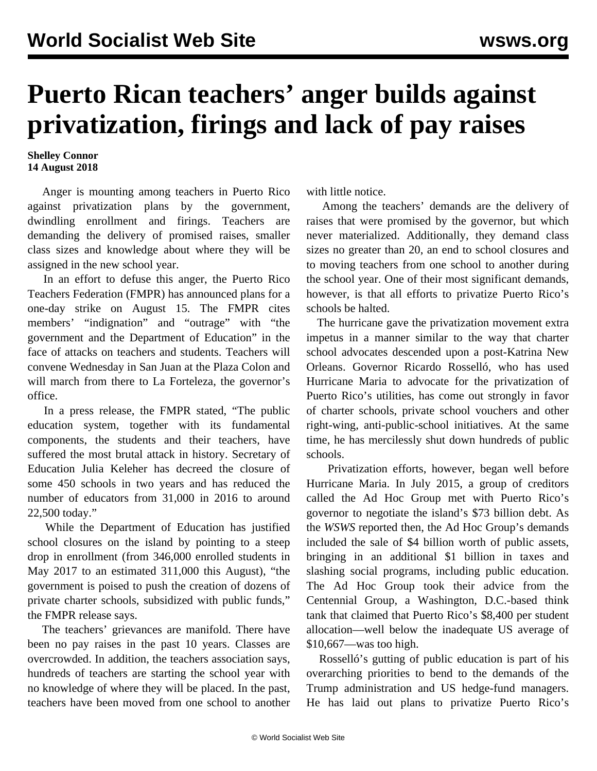## **Puerto Rican teachers' anger builds against privatization, firings and lack of pay raises**

## **Shelley Connor 14 August 2018**

 Anger is mounting among teachers in Puerto Rico against privatization plans by the government, dwindling enrollment and firings. Teachers are demanding the delivery of promised raises, smaller class sizes and knowledge about where they will be assigned in the new school year.

 In an effort to defuse this anger, the Puerto Rico Teachers Federation (FMPR) has announced plans for a one-day strike on August 15. The FMPR cites members' "indignation" and "outrage" with "the government and the Department of Education" in the face of attacks on teachers and students. Teachers will convene Wednesday in San Juan at the Plaza Colon and will march from there to La Forteleza, the governor's office.

 In a press release, the FMPR stated, "The public education system, together with its fundamental components, the students and their teachers, have suffered the most brutal attack in history. Secretary of Education Julia Keleher has decreed the closure of some 450 schools in two years and has reduced the number of educators from 31,000 in 2016 to around 22,500 today."

 While the Department of Education has justified school closures on the island by pointing to a steep drop in enrollment (from 346,000 enrolled students in May 2017 to an estimated 311,000 this August), "the government is poised to push the creation of dozens of private charter schools, subsidized with public funds," the FMPR release says.

 The teachers' grievances are manifold. There have been no pay raises in the past 10 years. Classes are overcrowded. In addition, the teachers association says, hundreds of teachers are starting the school year with no knowledge of where they will be placed. In the past, teachers have been moved from one school to another with little notice.

 Among the teachers' demands are the delivery of raises that were promised by the governor, but which never materialized. Additionally, they demand class sizes no greater than 20, an end to school closures and to moving teachers from one school to another during the school year. One of their most significant demands, however, is that all efforts to privatize Puerto Rico's schools be halted.

 The hurricane gave the privatization movement extra impetus in a manner similar to the way that charter school advocates descended upon a post-Katrina New Orleans. Governor Ricardo Rosselló, who has used Hurricane Maria to advocate for the privatization of Puerto Rico's utilities, has come out strongly in favor of charter schools, private school vouchers and other right-wing, anti-public-school initiatives. At the same time, he has mercilessly shut down hundreds of public schools.

 Privatization efforts, however, began well before Hurricane Maria. In July 2015, a group of creditors called the Ad Hoc Group met with Puerto Rico's governor to negotiate the island's \$73 billion debt. As the *WSWS* reported then, the Ad Hoc Group's demands included the sale of \$4 billion worth of public assets, bringing in an additional \$1 billion in taxes and slashing social programs, including public education. The Ad Hoc Group took their advice from the Centennial Group, a Washington, D.C.-based think tank that claimed that Puerto Rico's \$8,400 per student allocation—well below the inadequate US average of \$10,667—was too high.

 Rosselló's gutting of public education is part of his overarching priorities to bend to the demands of the Trump administration and US hedge-fund managers. He has laid out plans to privatize Puerto Rico's